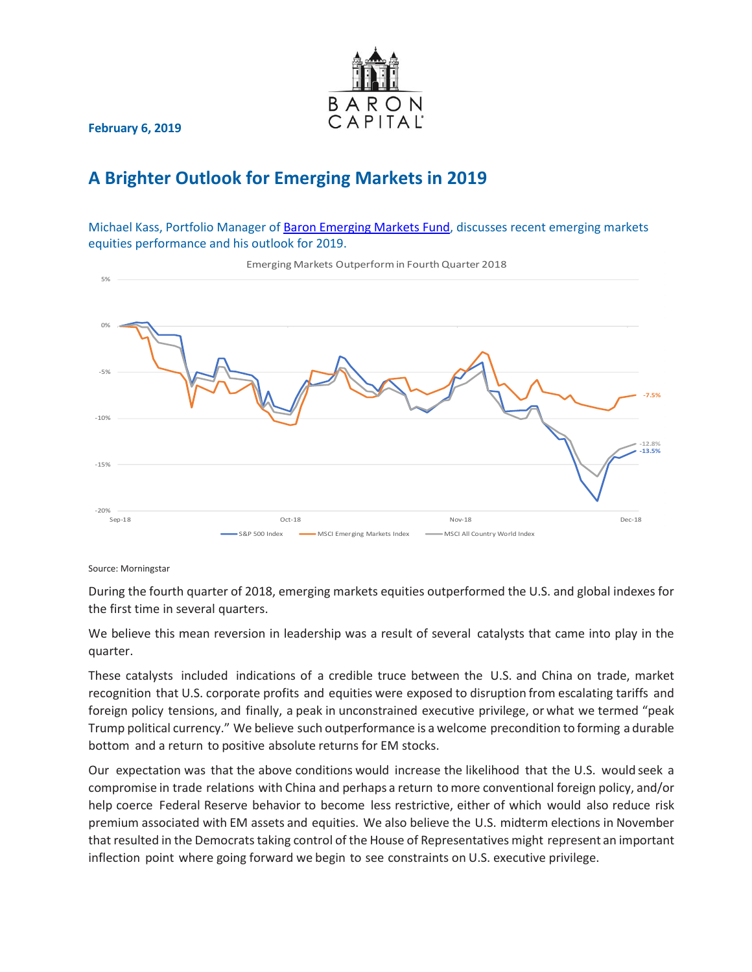

**February 6, 2019**

## **A Brighter Outlook for Emerging Markets in 2019**

Michael Kass, Portfolio Manager of [Baron Emerging Markets Fund,](https://www.baronfunds.com/product-detail?fund=bexix) discusses recent emerging markets equities performance and his outlook for 2019.



Source: Morningstar

During the fourth quarter of 2018, emerging markets equities outperformed the U.S. and global indexes for the first time in several quarters.

We believe this mean reversion in leadership was a result of several catalysts that came into play in the quarter.

These catalysts included indications of a credible truce between the U.S. and China on trade, market recognition that U.S. corporate profits and equities were exposed to disruption from escalating tariffs and foreign policy tensions, and finally, a peak in unconstrained executive privilege, or what we termed "peak Trump political currency." We believe such outperformance is a welcome precondition to forming a durable bottom and a return to positive absolute returns for EM stocks.

Our expectation was that the above conditions would increase the likelihood that the U.S. would seek a compromise in trade relations with China and perhaps a return tomore conventional foreign policy, and/or help coerce Federal Reserve behavior to become less restrictive, either of which would also reduce risk premium associated with EM assets and equities. We also believe the U.S. midterm elections in November that resulted in the Democrats taking control of the House of Representatives might represent an important inflection point where going forward we begin to see constraints on U.S. executive privilege.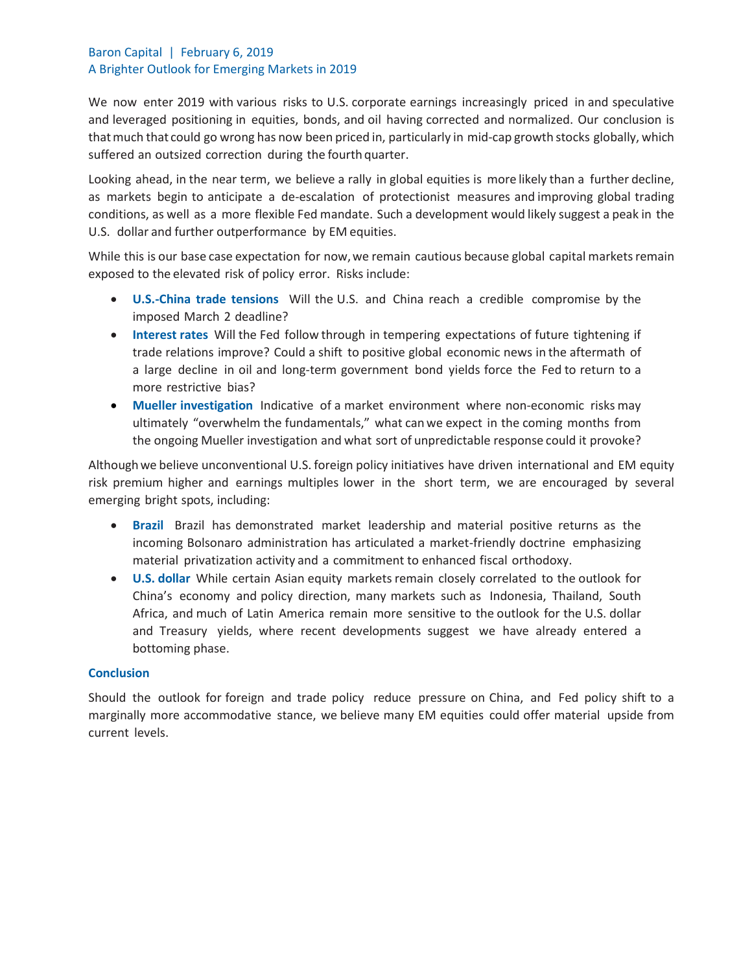## Baron Capital | February 6, 2019 A Brighter Outlook for Emerging Markets in 2019

We now enter 2019 with various risks to U.S. corporate earnings increasingly priced in and speculative and leveraged positioning in equities, bonds, and oil having corrected and normalized. Our conclusion is thatmuch that could go wrong has now been priced in, particularly in mid-cap growth stocks globally, which suffered an outsized correction during the fourth quarter.

Looking ahead, in the near term, we believe a rally in global equities is more likely than a further decline, as markets begin to anticipate a de-escalation of protectionist measures and improving global trading conditions, as well as a more flexible Fed mandate. Such a development would likely suggest a peak in the U.S. dollar and further outperformance by EM equities.

While this is our base case expectation for now,we remain cautious because global capital markets remain exposed to the elevated risk of policy error. Risks include:

- **U.S.-China trade tensions** Will the U.S. and China reach a credible compromise by the imposed March 2 deadline?
- **Interest rates** Will the Fed follow through in tempering expectations of future tightening if trade relations improve? Could a shift to positive global economic news in the aftermath of a large decline in oil and long-term government bond yields force the Fed to return to a more restrictive bias?
- **Mueller investigation** Indicative of a market environment where non-economic risks may ultimately "overwhelm the fundamentals," what canwe expect in the coming months from the ongoing Mueller investigation and what sort of unpredictable response could it provoke?

Althoughwe believe unconventional U.S. foreign policy initiatives have driven international and EM equity risk premium higher and earnings multiples lower in the short term, we are encouraged by several emerging bright spots, including:

- **Brazil** Brazil has demonstrated market leadership and material positive returns as the incoming Bolsonaro administration has articulated a market-friendly doctrine emphasizing material privatization activity and a commitment to enhanced fiscal orthodoxy.
- **U.S. dollar** While certain Asian equity markets remain closely correlated to the outlook for China's economy and policy direction, many markets such as Indonesia, Thailand, South Africa, and much of Latin America remain more sensitive to the outlook for the U.S. dollar and Treasury yields, where recent developments suggest we have already entered a bottoming phase.

## **Conclusion**

Should the outlook for foreign and trade policy reduce pressure on China, and Fed policy shift to a marginally more accommodative stance, we believe many EM equities could offer material upside from current levels.